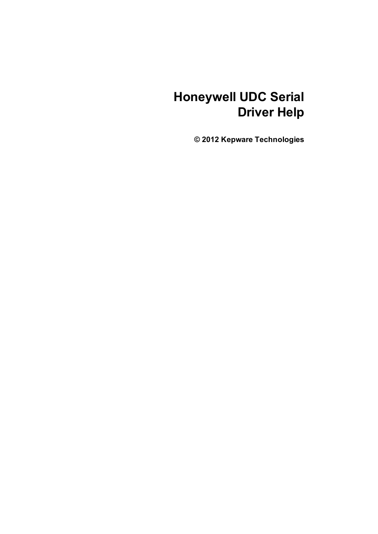# **Honeywell UDC Serial Driver Help**

**© 2012 Kepware Technologies**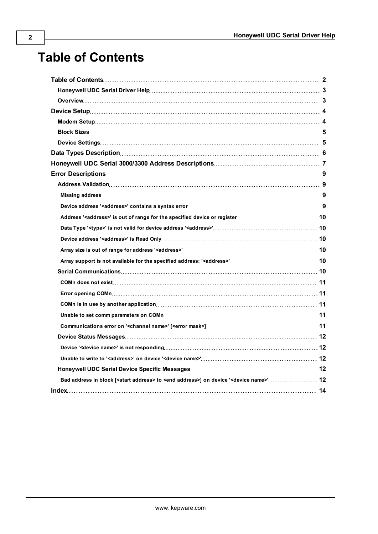# <span id="page-1-0"></span>**Table of Contents**

| Bad address in block [ <start address=""> to <end address="">] on device '<device name="">' 12</device></end></start> |  |
|-----------------------------------------------------------------------------------------------------------------------|--|
|                                                                                                                       |  |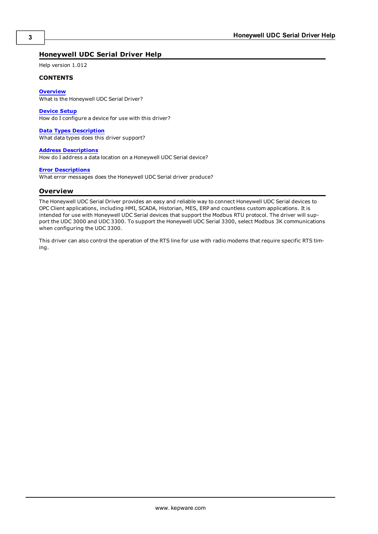#### <span id="page-2-0"></span>**Honeywell UDC Serial Driver Help**

Help version 1.012

#### **CONTENTS**

**[Overview](#page-2-1)**

What is the Honeywell UDC Serial Driver?

**[Device](#page-3-0) [Setup](#page-3-0)**

How do I configure a device for use with this driver?

#### **[Data](#page-5-0) [Types](#page-5-0) [Description](#page-5-0)**

What data types does this driver support?

#### **[Address](#page-6-0) [Descriptions](#page-6-0)**

How do I address a data location on a Honeywell UDC Serial device?

#### **[Error](#page-8-0) [Descriptions](#page-8-0)**

<span id="page-2-1"></span>What error messages does the Honeywell UDC Serial driver produce?

#### **Overview**

The Honeywell UDC Serial Driver provides an easy and reliable way to connect Honeywell UDC Serial devices to OPC Client applications, including HMI, SCADA, Historian, MES, ERP and countless custom applications. It is intended for use with Honeywell UDC Serial devices that support the Modbus RTU protocol. The driver will support the UDC 3000 and UDC 3300. To support the Honeywell UDC Serial 3300, select Modbus 3K communications when configuring the UDC 3300.

This driver can also control the operation of the RTS line for use with radio modems that require specific RTS timing.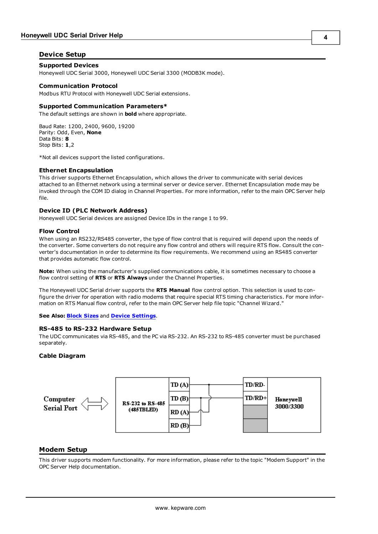#### <span id="page-3-0"></span>**Device Setup**

#### **Supported Devices**

Honeywell UDC Serial 3000, Honeywell UDC Serial 3300 (MODB3K mode).

#### **Communication Protocol**

Modbus RTU Protocol with Honeywell UDC Serial extensions.

#### **Supported Communication Parameters\***

The default settings are shown in **bold** where appropriate.

Baud Rate: 1200, 2400, 9600, 19200 Parity: Odd, Even, **None** Data Bits: **8** Stop Bits: **1**,2

\*Not all devices support the listed configurations.

#### <span id="page-3-4"></span>**Ethernet Encapsulation**

This driver supports Ethernet Encapsulation, which allows the driver to communicate with serial devices attached to an Ethernet network using a terminal server or device server. Ethernet Encapsulation mode may be invoked through the COM ID dialog in Channel Properties. For more information, refer to the main OPC Server help file.

#### <span id="page-3-3"></span>**Device ID (PLC Network Address)**

Honeywell UDC Serial devices are assigned Device IDs in the range 1 to 99.

#### **Flow Control**

When using an RS232/RS485 converter, the type of flow control that is required will depend upon the needs of the converter. Some converters do not require any flow control and others will require RTS flow. Consult the converter's documentation in order to determine its flow requirements. We recommend using an RS485 converter that provides automatic flow control.

**Note:** When using the manufacturer's supplied communications cable, it is sometimes necessary to choose a flow control setting of **RTS** or **RTS Always** under the Channel Properties.

The Honeywell UDC Serial driver supports the **RTS Manual** flow control option. This selection is used to configure the driver for operation with radio modems that require special RTS timing characteristics. For more information on RTS Manual flow control, refer to the main OPC Server help file topic "Channel Wizard."

<span id="page-3-2"></span>**See Also: [Block](#page-4-0) [Sizes](#page-4-0)** and **[Device](#page-4-1) [Settings](#page-4-1)**.

#### **RS-485 to RS-232 Hardware Setup**

The UDC communicates via RS-485, and the PC via RS-232. An RS-232 to RS-485 converter must be purchased separately.

#### **Cable Diagram**



#### <span id="page-3-1"></span>**Modem Setup**

This driver supports modem functionality. For more information, please refer to the topic "Modem Support" in the OPC Server Help documentation.

**4**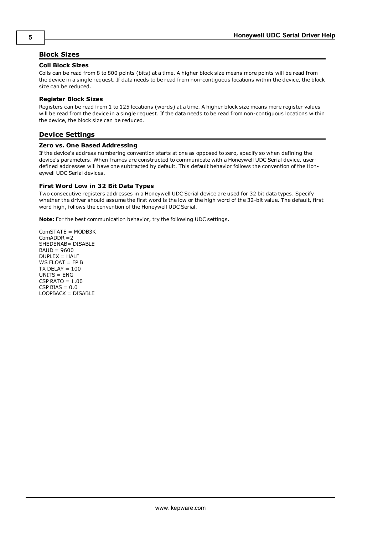#### <span id="page-4-0"></span>**Block Sizes**

#### **Coil Block Sizes**

Coils can be read from 8 to 800 points (bits) at a time. A higher block size means more points will be read from the device in a single request. If data needs to be read from non-contiguous locations within the device, the block size can be reduced.

#### **Register Block Sizes**

Registers can be read from 1 to 125 locations (words) at a time. A higher block size means more register values will be read from the device in a single request. If the data needs to be read from non-contiguous locations within the device, the block size can be reduced.

#### <span id="page-4-1"></span>**Device Settings**

#### **Zero vs. One Based Addressing**

If the device's address numbering convention starts at one as opposed to zero, specify so when defining the device's parameters. When frames are constructed to communicate with a Honeywell UDC Serial device, userdefined addresses will have one subtracted by default. This default behavior follows the convention of the Honeywell UDC Serial devices.

#### **First Word Low in 32 Bit Data Types**

Two consecutive registers addresses in a Honeywell UDC Serial device are used for 32 bit data types. Specify whether the driver should assume the first word is the low or the high word of the 32-bit value. The default, first word high, follows the convention of the Honeywell UDC Serial.

**Note:** For the best communication behavior, try the following UDC settings.

ComSTATE = MODB3K ComADDR =2 SHEDENAB= DISABLE BAUD = 9600 DUPLEX = HALF WS FLOAT = FP B  $TX$  DELAY =  $100$ UNITS = ENG  $CSP$  RATO =  $1.00$  $CSP BIAS = 0.0$ LOOPBACK = DISABLE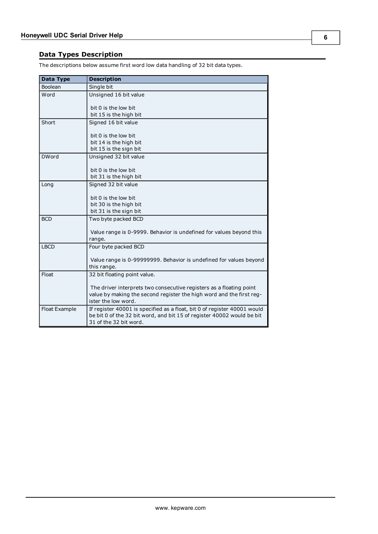### <span id="page-5-8"></span><span id="page-5-0"></span>**Data Types Description**

<span id="page-5-7"></span><span id="page-5-6"></span><span id="page-5-5"></span><span id="page-5-4"></span><span id="page-5-3"></span><span id="page-5-2"></span><span id="page-5-1"></span>

| <b>Data Type</b> | <b>Description</b>                                                       |
|------------------|--------------------------------------------------------------------------|
| Boolean          | Single bit                                                               |
| Word             | Unsigned 16 bit value                                                    |
|                  |                                                                          |
|                  | bit 0 is the low bit                                                     |
|                  | bit 15 is the high bit                                                   |
| Short            | Signed 16 bit value                                                      |
|                  | bit 0 is the low bit                                                     |
|                  | bit 14 is the high bit                                                   |
|                  | bit 15 is the sign bit                                                   |
| <b>DWord</b>     | Unsigned 32 bit value                                                    |
|                  |                                                                          |
|                  | bit 0 is the low bit                                                     |
|                  | bit 31 is the high bit                                                   |
| Long             | Signed 32 bit value                                                      |
|                  |                                                                          |
|                  | bit 0 is the low bit                                                     |
|                  | bit 30 is the high bit                                                   |
|                  | bit 31 is the sign bit                                                   |
| <b>BCD</b>       | Two byte packed BCD                                                      |
|                  |                                                                          |
|                  | Value range is 0-9999. Behavior is undefined for values beyond this      |
|                  | range.                                                                   |
| <b>LBCD</b>      | Four byte packed BCD                                                     |
|                  | Value range is 0-99999999. Behavior is undefined for values beyond       |
|                  | this range.                                                              |
| Float            | 32 bit floating point value.                                             |
|                  |                                                                          |
|                  | The driver interprets two consecutive registers as a floating point      |
|                  | value by making the second register the high word and the first reg-     |
|                  | ister the low word.                                                      |
| Float Example    | If register 40001 is specified as a float, bit 0 of register 40001 would |
|                  | be bit 0 of the 32 bit word, and bit 15 of register 40002 would be bit   |
|                  | 31 of the 32 bit word.                                                   |

The descriptions below assume first word low data handling of 32 bit data types.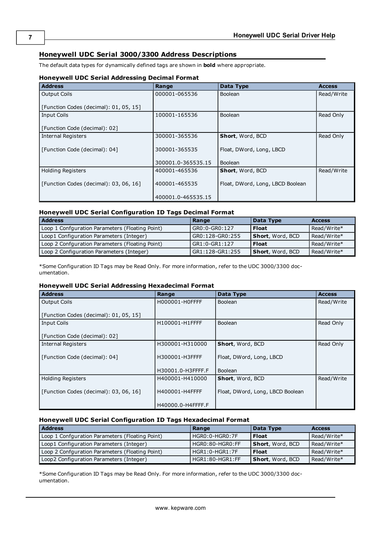### <span id="page-6-0"></span>**Honeywell UDC Serial 3000/3300 Address Descriptions**

The default data types for dynamically defined tags are shown in **bold** where appropriate.

#### **Honeywell UDC Serial Addressing Decimal Format**

| <b>Address</b>                         | Range              | Data Type                        | <b>Access</b> |
|----------------------------------------|--------------------|----------------------------------|---------------|
| <b>Output Coils</b>                    | 000001-065536      | <b>Boolean</b>                   | Read/Write    |
|                                        |                    |                                  |               |
| [Function Codes (decimal): 01, 05, 15] |                    |                                  |               |
| <b>Input Coils</b>                     | 100001-165536      | Boolean                          | Read Only     |
|                                        |                    |                                  |               |
| [Function Code (decimal): 02]          |                    |                                  |               |
| <b>Internal Registers</b>              | 300001-365536      | Short, Word, BCD                 | Read Only     |
|                                        |                    |                                  |               |
| [Function Code (decimal): 04]          | 300001-365535      | Float, DWord, Long, LBCD         |               |
|                                        |                    |                                  |               |
|                                        | 300001.0-365535.15 | Boolean                          |               |
| <b>Holding Registers</b>               | 400001-465536      | Short, Word, BCD                 | Read/Write    |
|                                        |                    |                                  |               |
| [Function Codes (decimal): 03, 06, 16] | 400001-465535      | Float, DWord, Long, LBCD Boolean |               |
|                                        |                    |                                  |               |
|                                        | 400001.0-465535.15 |                                  |               |

#### **Honeywell UDC Serial Configuration ID Tags Decimal Format**

| <b>Address</b>                                  | Range             | Data Type                | <b>Access</b> |
|-------------------------------------------------|-------------------|--------------------------|---------------|
| Loop 1 Confguration Parameters (Floating Point) | l GR0:0-GR0:127   | <b>Float</b>             | Read/Write*   |
| Loop1 Configuration Parameters (Integer)        | GR0:128-GR0:255   | Short, Word, BCD         | Read/Write*   |
| Loop 2 Confguration Parameters (Floating Point) | $l$ GR1:0-GR1:127 | <b>Float</b>             | Read/Write*   |
| Loop 2 Configuration Parameters (Integer)       | l GR1:128-GR1:255 | <b>Short</b> , Word, BCD | Read/Write*   |

\*Some Configuration ID Tags may be Read Only. For more information, refer to the UDC 3000/3300 documentation.

#### **Honeywell UDC Serial Addressing Hexadecimal Format**

| <b>Address</b>                         | Range             | Data Type                        | <b>Access</b> |
|----------------------------------------|-------------------|----------------------------------|---------------|
| <b>Output Coils</b>                    | H000001-H0FFFF    | Boolean                          | Read/Write    |
|                                        |                   |                                  |               |
| [Function Codes (decimal): 01, 05, 15] |                   |                                  |               |
| <b>Input Coils</b>                     | H100001-H1FFFF    | <b>Boolean</b>                   | Read Only     |
|                                        |                   |                                  |               |
| [Function Code (decimal): 02]          |                   |                                  |               |
| <b>Internal Registers</b>              | H300001-H310000   | Short, Word, BCD                 | Read Only     |
|                                        |                   |                                  |               |
| [Function Code (decimal): 04]          | H300001-H3FFFF    | Float, DWord, Long, LBCD         |               |
|                                        |                   |                                  |               |
|                                        | H30001.0-H3FFFF.F | Boolean                          |               |
| <b>Holding Registers</b>               | H400001-H410000   | Short, Word, BCD                 | Read/Write    |
|                                        |                   |                                  |               |
| [Function Codes (decimal): 03, 06, 16] | H400001-H4FFFF    | Float, DWord, Long, LBCD Boolean |               |
|                                        |                   |                                  |               |
|                                        | H40000.0-H4FFFF.F |                                  |               |

#### **Honeywell UDC Serial Configuration ID Tags Hexadecimal Format**

| <b>Address</b>                                  | Range             | Data Type                | <b>Access</b> |
|-------------------------------------------------|-------------------|--------------------------|---------------|
| Loop 1 Confguration Parameters (Floating Point) | HGR0:0-HGR0:7F    | <b>Float</b>             | Read/Write*   |
| Loop1 Configuration Parameters (Integer)        | HGR0:80-HGR0:FF   | <b>Short</b> , Word, BCD | Read/Write*   |
| Loop 2 Confguration Parameters (Floating Point) | $HGR1:0-HGR1:7F$  | <b>Float</b>             | Read/Write*   |
| Loop2 Configuration Parameters (Integer)        | $HGR1:80-HGR1:FF$ | <b>Short</b> , Word, BCD | Read/Write*   |

\*Some Configuration ID Tags may be Read Only. For more information, refer to the UDC 3000/3300 documentation.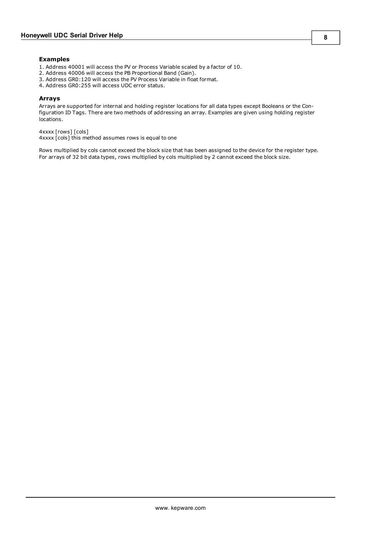#### **Examples**

- 1. Address 40001 will access the PV or Process Variable scaled by a factor of 10.
- 2. Address 40006 will access the PB Proportional Band (Gain).
- 3. Address GR0:120 will access the PV Process Variable in float format.
- 4. Address GR0:255 will access UDC error status.

#### **Arrays**

Arrays are supported for internal and holding register locations for all data types except Booleans or the Configuration ID Tags. There are two methods of addressing an array. Examples are given using holding register locations.

4xxxx [rows] [cols]

4xxxx [cols] this method assumes rows is equal to one

Rows multiplied by cols cannot exceed the block size that has been assigned to the device for the register type. For arrays of 32 bit data types, rows multiplied by cols multiplied by 2 cannot exceed the block size.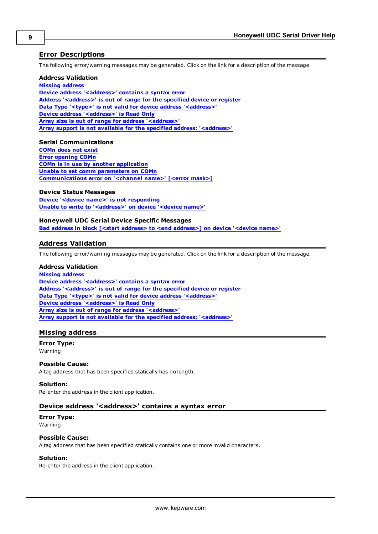#### <span id="page-8-0"></span>**Error Descriptions**

The following error/warning messages may be generated. Click on the link for a description of the message.

#### **Address Validation**

**[Missing](#page-8-2) [address](#page-8-2) [Device](#page-8-3) [address](#page-8-3) ['<address>'](#page-8-3) [contains](#page-8-3) [a](#page-8-3) [syntax](#page-8-3) [error](#page-8-3) [Address](#page-9-0) ['<address>'](#page-9-0) [is](#page-9-0) [out](#page-9-0) [of](#page-9-0) [range](#page-9-0) [for](#page-9-0) [the](#page-9-0) [specified](#page-9-0) [device](#page-9-0) [or](#page-9-0) [register](#page-9-0) [Data](#page-9-1) [Type](#page-9-1) ['<type>'](#page-9-1) [is](#page-9-1) [not](#page-9-1) [valid](#page-9-1) [for](#page-9-1) [device](#page-9-1) [address](#page-9-1) ['<address>'](#page-9-1) [Device](#page-9-2) [address](#page-9-2) ['<address>'](#page-9-2) [is](#page-9-2) [Read](#page-9-2) [Only](#page-9-2) [Array](#page-9-3) [size](#page-9-3) [is](#page-9-3) [out](#page-9-3) [of](#page-9-3) [range](#page-9-3) [for](#page-9-3) [address](#page-9-3) ['<address>'](#page-9-3) [Array](#page-9-4) [support](#page-9-4) [is](#page-9-4) [not](#page-9-4) [available](#page-9-4) [for](#page-9-4) [the](#page-9-4) [specified](#page-9-4) [address:](#page-9-4) ['<address>'](#page-9-4)**

#### **Serial Communications**

**[COMn](#page-10-0) [does](#page-10-0) [not](#page-10-0) [exist](#page-10-0) [Error](#page-10-1) [opening](#page-10-1) [COMn](#page-10-1) [COMn](#page-10-2) [is](#page-10-2) [in](#page-10-2) [use](#page-10-2) [by](#page-10-2) [another](#page-10-2) [application](#page-10-2) [Unable](#page-10-3) [to](#page-10-3) [set](#page-10-3) [comm](#page-10-3) [parameters](#page-10-3) [on](#page-10-3) [COMn](#page-10-3) [Communications](#page-10-4) [error](#page-10-4) [on](#page-10-4) ['<channel](#page-10-4) [name>'](#page-10-4) [\[<error](#page-10-4) [mask>\]](#page-10-4)**

#### **Device Status Messages**

**[Device](#page-11-1) ['<device](#page-11-1) [name>'](#page-11-1) [is](#page-11-1) [not](#page-11-1) [responding](#page-11-1) [Unable](#page-11-2) [to](#page-11-2) [write](#page-11-2) [to](#page-11-2) ['<address>'](#page-11-2) [on](#page-11-2) [device](#page-11-2) ['<device](#page-11-2) [name>'](#page-11-2)**

#### **Honeywell UDC Serial Device Specific Messages**

<span id="page-8-1"></span>**[Bad](#page-11-4) [address](#page-11-4) [in](#page-11-4) [block](#page-11-4) [\[<start](#page-11-4) [address>](#page-11-4) [to](#page-11-4) [<end](#page-11-4) [address>\]](#page-11-4) [on](#page-11-4) [device](#page-11-4) ['<device](#page-11-4) [name>'](#page-11-4)**

#### **Address Validation**

The following error/warning messages may be generated. Click on the link for a description of the message.

#### **Address Validation**

**[Missing](#page-8-2) [address](#page-8-2) [Device](#page-8-3) [address](#page-8-3) ['<address>'](#page-8-3) [contains](#page-8-3) [a](#page-8-3) [syntax](#page-8-3) [error](#page-8-3) [Address](#page-9-0) ['<address>'](#page-9-0) [is](#page-9-0) [out](#page-9-0) [of](#page-9-0) [range](#page-9-0) [for](#page-9-0) [the](#page-9-0) [specified](#page-9-0) [device](#page-9-0) [or](#page-9-0) [register](#page-9-0) [Data](#page-9-1) [Type](#page-9-1) ['<type>'](#page-9-1) [is](#page-9-1) [not](#page-9-1) [valid](#page-9-1) [for](#page-9-1) [device](#page-9-1) [address](#page-9-1) ['<address>'](#page-9-1) [Device](#page-9-2) [address](#page-9-2) ['<address>'](#page-9-2) [is](#page-9-2) [Read](#page-9-2) [Only](#page-9-2) [Array](#page-9-3) [size](#page-9-3) [is](#page-9-3) [out](#page-9-3) [of](#page-9-3) [range](#page-9-3) [for](#page-9-3) [address](#page-9-3) ['<address>'](#page-9-3) [Array](#page-9-4) [support](#page-9-4) [is](#page-9-4) [not](#page-9-4) [available](#page-9-4) [for](#page-9-4) [the](#page-9-4) [specified](#page-9-4) [address:](#page-9-4) ['<address>'](#page-9-4)**

#### <span id="page-8-2"></span>**Missing address**

**Error Type:** Warning

#### **Possible Cause:**

A tag address that has been specified statically has no length.

#### **Solution:**

<span id="page-8-3"></span>Re-enter the address in the client application.

#### Device address '<address>' contains a syntax error

#### **Error Type:** Warning

#### **Possible Cause:**

A tag address that has been specified statically contains one or more invalid characters.

#### **Solution:**

Re-enter the address in the client application.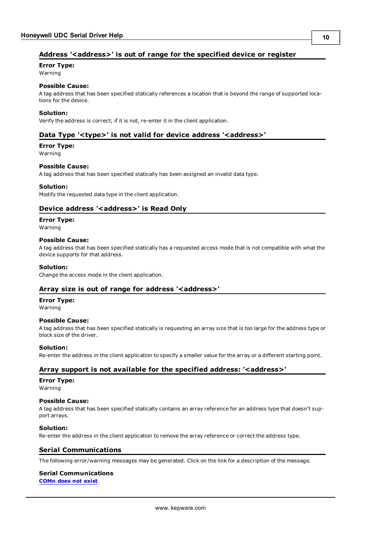#### <span id="page-9-0"></span>**Address '<address>' is out of range for the specified device or register**

**Error Type:**

Warning

#### **Possible Cause:**

A tag address that has been specified statically references a location that is beyond the range of supported locations for the device.

#### **Solution:**

<span id="page-9-1"></span>Verify the address is correct; if it is not, re-enter it in the client application.

#### Data Type '<type>' is not valid for device address '<address>'

### **Error Type:**

Warning

#### **Possible Cause:**

A tag address that has been specified statically has been assigned an invalid data type.

#### **Solution:**

<span id="page-9-2"></span>Modify the requested data type in the client application.

#### Device address '<address>' is Read Only

#### **Error Type:**

Warning

#### **Possible Cause:**

A tag address that has been specified statically has a requested access mode that is not compatible with what the device supports for that address.

#### **Solution:**

<span id="page-9-3"></span>Change the access mode in the client application.

#### **Array size is out of range for address '<address>'**

## **Error Type:**

Warning

#### **Possible Cause:**

A tag address that has been specified statically is requesting an array size that is too large for the address type or block size of the driver.

#### **Solution:**

<span id="page-9-4"></span>Re-enter the address in the client application to specify a smaller value for the array or a different starting point.

#### **Array support is not available for the specified address: '<address>'**

#### **Error Type:**

Warning

#### **Possible Cause:**

A tag address that has been specified statically contains an array reference for an address type that doesn't support arrays.

#### **Solution:**

<span id="page-9-5"></span>Re-enter the address in the client application to remove the array reference or correct the address type.

#### **Serial Communications**

The following error/warning messages may be generated. Click on the link for a description of the message.

### **Serial Communications**

**[COMn](#page-10-0) [does](#page-10-0) [not](#page-10-0) [exist](#page-10-0)**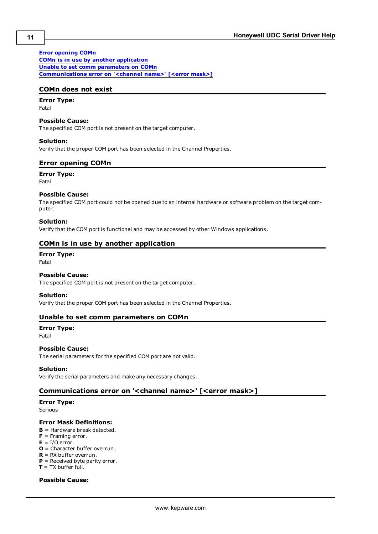#### **[Error](#page-10-1) [opening](#page-10-1) [COMn](#page-10-1)**

**[COMn](#page-10-2) [is](#page-10-2) [in](#page-10-2) [use](#page-10-2) [by](#page-10-2) [another](#page-10-2) [application](#page-10-2) [Unable](#page-10-3) [to](#page-10-3) [set](#page-10-3) [comm](#page-10-3) [parameters](#page-10-3) [on](#page-10-3) [COMn](#page-10-3) [Communications](#page-10-4) [error](#page-10-4) [on](#page-10-4) ['<channel](#page-10-4) [name>'](#page-10-4) [\[<error](#page-10-4) [mask>\]](#page-10-4)**

#### <span id="page-10-0"></span>**COMn does not exist**

### **Error Type:**

Fatal

#### **Possible Cause:**

The specified COM port is not present on the target computer.

#### **Solution:**

<span id="page-10-1"></span>Verify that the proper COM port has been selected in the Channel Properties.

#### **Error opening COMn**

**Error Type:** Fatal

#### **Possible Cause:**

The specified COM port could not be opened due to an internal hardware or software problem on the target computer.

#### **Solution:**

<span id="page-10-2"></span>Verify that the COM port is functional and may be accessed by other Windows applications.

#### **COMn is in use by another application**

#### **Error Type:**

Fatal

#### **Possible Cause:**

The specified COM port is not present on the target computer.

#### **Solution:**

<span id="page-10-3"></span>Verify that the proper COM port has been selected in the Channel Properties.

#### **Unable to set comm parameters on COMn**

### **Error Type:**

Fatal

#### **Possible Cause:**

The serial parameters for the specified COM port are not valid.

#### **Solution:**

<span id="page-10-4"></span>Verify the serial parameters and make any necessary changes.

#### **Communications error on '<channel name>' [<error mask>]**

#### **Error Type:**

Serious

#### **Error Mask Definitions:**

- <span id="page-10-5"></span>**B** = Hardware break detected.
- **F** = Framing error.
- <span id="page-10-6"></span> $E = I/O$  error.
- **O** = Character buffer overrun.
- <span id="page-10-7"></span>**R** = RX buffer overrun.
- **P** = Received byte parity error. **T** = TX buffer full.

#### **Possible Cause:**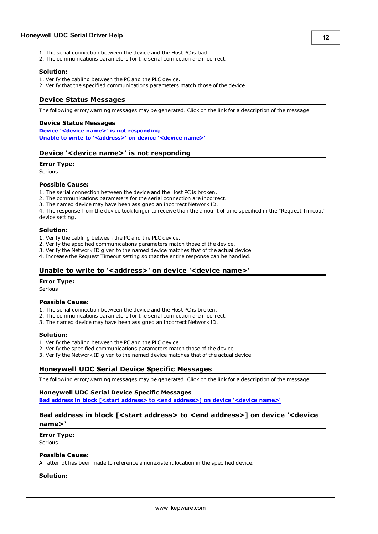- 1. The serial connection between the device and the Host PC is bad.
- 2. The communications parameters for the serial connection are incorrect.

#### **Solution:**

- 1. Verify the cabling between the PC and the PLC device.
- <span id="page-11-0"></span>2. Verify that the specified communications parameters match those of the device.

#### **Device Status Messages**

The following error/warning messages may be generated. Click on the link for a description of the message.

#### **Device Status Messages**

**[Device](#page-11-1) ['<device](#page-11-1) [name>'](#page-11-1) [is](#page-11-1) [not](#page-11-1) [responding](#page-11-1) [Unable](#page-11-2) [to](#page-11-2) [write](#page-11-2) [to](#page-11-2) ['<address>'](#page-11-2) [on](#page-11-2) [device](#page-11-2) ['<device](#page-11-2) [name>'](#page-11-2)**

#### <span id="page-11-1"></span>**Device '<device name>' is not responding**

#### **Error Type:**

Serious

#### **Possible Cause:**

1. The serial connection between the device and the Host PC is broken.

- 2. The communications parameters for the serial connection are incorrect.
- 3. The named device may have been assigned an incorrect Network ID.

4. The response from the device took longer to receive than the amount of time specified in the "Request Timeout" device setting.

#### **Solution:**

- 1. Verify the cabling between the PC and the PLC device.
- 2. Verify the specified communications parameters match those of the device.
- 3. Verify the Network ID given to the named device matches that of the actual device.
- <span id="page-11-2"></span>4. Increase the Request Timeout setting so that the entire response can be handled.

#### Unable to write to '<address>' on device '<device name>'

#### **Error Type:**

Serious

#### **Possible Cause:**

- 1. The serial connection between the device and the Host PC is broken.
- 2. The communications parameters for the serial connection are incorrect.
- 3. The named device may have been assigned an incorrect Network ID.

#### **Solution:**

- 1. Verify the cabling between the PC and the PLC device.
- 2. Verify the specified communications parameters match those of the device.
- <span id="page-11-3"></span>3. Verify the Network ID given to the named device matches that of the actual device.

#### **Honeywell UDC Serial Device Specific Messages**

The following error/warning messages may be generated. Click on the link for a description of the message.

#### **Honeywell UDC Serial Device Specific Messages**

<span id="page-11-4"></span>**[Bad](#page-11-4) [address](#page-11-4) [in](#page-11-4) [block](#page-11-4) [\[<start](#page-11-4) [address>](#page-11-4) [to](#page-11-4) [<end](#page-11-4) [address>\]](#page-11-4) [on](#page-11-4) [device](#page-11-4) ['<device](#page-11-4) [name>'](#page-11-4)**

#### **Bad address in block [<start address> to <end address>] on device '<device name>'**

**Error Type:**

Serious

#### **Possible Cause:**

An attempt has been made to reference a nonexistent location in the specified device.

#### **Solution:**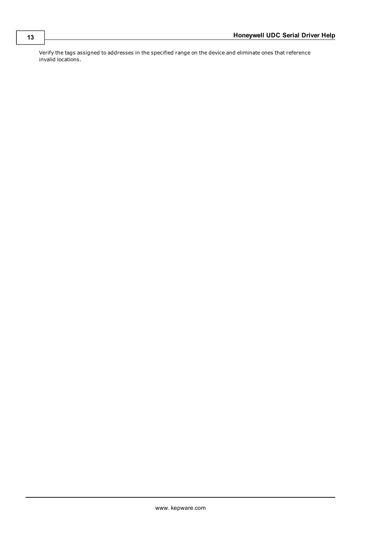Verify the tags assigned to addresses in the specified range on the device and eliminate ones that reference invalid locations.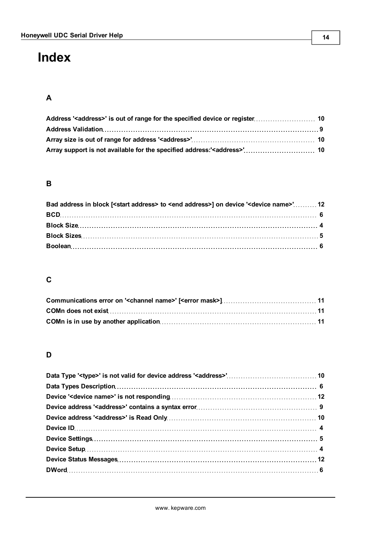# <span id="page-13-0"></span>**Index**

### **A**

### **B**

| Bad address in block [ <start address=""> to <end address="">] on device '<device name="">' 12</device></end></start> |  |
|-----------------------------------------------------------------------------------------------------------------------|--|
|                                                                                                                       |  |
|                                                                                                                       |  |
|                                                                                                                       |  |
|                                                                                                                       |  |

### **C**

### **D**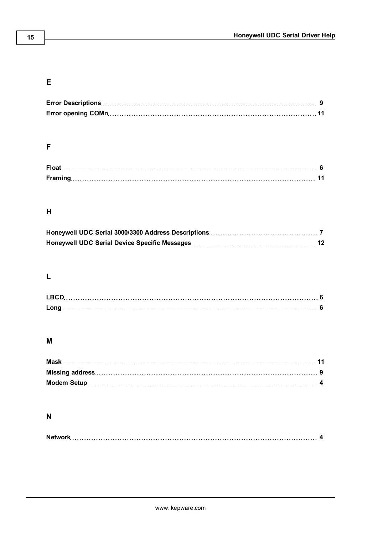### **E**

### **F**

| <b>Float</b> |  |
|--------------|--|
|              |  |

### **H**

### **L**

| <b>LBCI</b> |  |
|-------------|--|
|             |  |

### **M**

### **N**

|--|--|